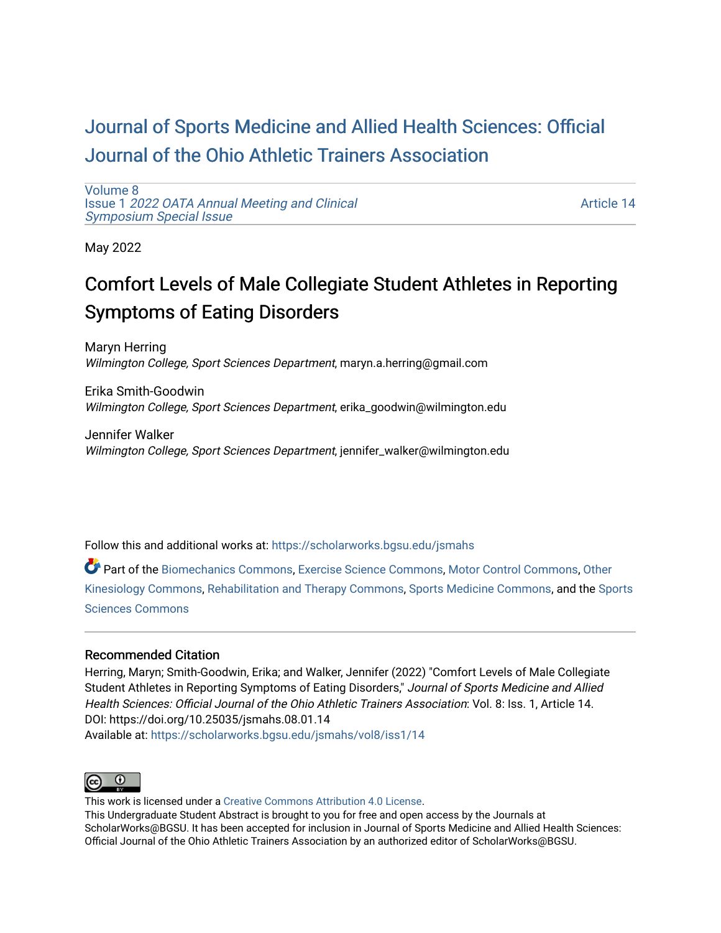# [Journal of Sports Medicine and Allied Health Sciences: Official](https://scholarworks.bgsu.edu/jsmahs)  [Journal of the Ohio Athletic Trainers Association](https://scholarworks.bgsu.edu/jsmahs)

[Volume 8](https://scholarworks.bgsu.edu/jsmahs/vol8) Issue 1 [2022 OATA Annual Meeting and Clinical](https://scholarworks.bgsu.edu/jsmahs/vol8/iss1) [Symposium Special Issue](https://scholarworks.bgsu.edu/jsmahs/vol8/iss1)

[Article 14](https://scholarworks.bgsu.edu/jsmahs/vol8/iss1/14) 

May 2022

# Comfort Levels of Male Collegiate Student Athletes in Reporting Symptoms of Eating Disorders

Maryn Herring Wilmington College, Sport Sciences Department, maryn.a.herring@gmail.com

Erika Smith-Goodwin Wilmington College, Sport Sciences Department, erika\_goodwin@wilmington.edu

Jennifer Walker Wilmington College, Sport Sciences Department, jennifer\_walker@wilmington.edu

Follow this and additional works at: [https://scholarworks.bgsu.edu/jsmahs](https://scholarworks.bgsu.edu/jsmahs?utm_source=scholarworks.bgsu.edu%2Fjsmahs%2Fvol8%2Fiss1%2F14&utm_medium=PDF&utm_campaign=PDFCoverPages)

Part of the [Biomechanics Commons,](https://network.bepress.com/hgg/discipline/43?utm_source=scholarworks.bgsu.edu%2Fjsmahs%2Fvol8%2Fiss1%2F14&utm_medium=PDF&utm_campaign=PDFCoverPages) [Exercise Science Commons](https://network.bepress.com/hgg/discipline/1091?utm_source=scholarworks.bgsu.edu%2Fjsmahs%2Fvol8%2Fiss1%2F14&utm_medium=PDF&utm_campaign=PDFCoverPages), [Motor Control Commons](https://network.bepress.com/hgg/discipline/45?utm_source=scholarworks.bgsu.edu%2Fjsmahs%2Fvol8%2Fiss1%2F14&utm_medium=PDF&utm_campaign=PDFCoverPages), [Other](https://network.bepress.com/hgg/discipline/47?utm_source=scholarworks.bgsu.edu%2Fjsmahs%2Fvol8%2Fiss1%2F14&utm_medium=PDF&utm_campaign=PDFCoverPages)  [Kinesiology Commons,](https://network.bepress.com/hgg/discipline/47?utm_source=scholarworks.bgsu.edu%2Fjsmahs%2Fvol8%2Fiss1%2F14&utm_medium=PDF&utm_campaign=PDFCoverPages) [Rehabilitation and Therapy Commons](https://network.bepress.com/hgg/discipline/749?utm_source=scholarworks.bgsu.edu%2Fjsmahs%2Fvol8%2Fiss1%2F14&utm_medium=PDF&utm_campaign=PDFCoverPages), [Sports Medicine Commons](https://network.bepress.com/hgg/discipline/1331?utm_source=scholarworks.bgsu.edu%2Fjsmahs%2Fvol8%2Fiss1%2F14&utm_medium=PDF&utm_campaign=PDFCoverPages), and the [Sports](https://network.bepress.com/hgg/discipline/759?utm_source=scholarworks.bgsu.edu%2Fjsmahs%2Fvol8%2Fiss1%2F14&utm_medium=PDF&utm_campaign=PDFCoverPages)  [Sciences Commons](https://network.bepress.com/hgg/discipline/759?utm_source=scholarworks.bgsu.edu%2Fjsmahs%2Fvol8%2Fiss1%2F14&utm_medium=PDF&utm_campaign=PDFCoverPages) 

#### Recommended Citation

Herring, Maryn; Smith-Goodwin, Erika; and Walker, Jennifer (2022) "Comfort Levels of Male Collegiate Student Athletes in Reporting Symptoms of Eating Disorders," Journal of Sports Medicine and Allied Health Sciences: Official Journal of the Ohio Athletic Trainers Association: Vol. 8: Iss. 1, Article 14. DOI: https://doi.org/10.25035/jsmahs.08.01.14 Available at: [https://scholarworks.bgsu.edu/jsmahs/vol8/iss1/14](https://scholarworks.bgsu.edu/jsmahs/vol8/iss1/14?utm_source=scholarworks.bgsu.edu%2Fjsmahs%2Fvol8%2Fiss1%2F14&utm_medium=PDF&utm_campaign=PDFCoverPages) 



This work is licensed under a [Creative Commons Attribution 4.0 License](https://creativecommons.org/licenses/by/4.0/). This Undergraduate Student Abstract is brought to you for free and open access by the Journals at ScholarWorks@BGSU. It has been accepted for inclusion in Journal of Sports Medicine and Allied Health Sciences: Official Journal of the Ohio Athletic Trainers Association by an authorized editor of ScholarWorks@BGSU.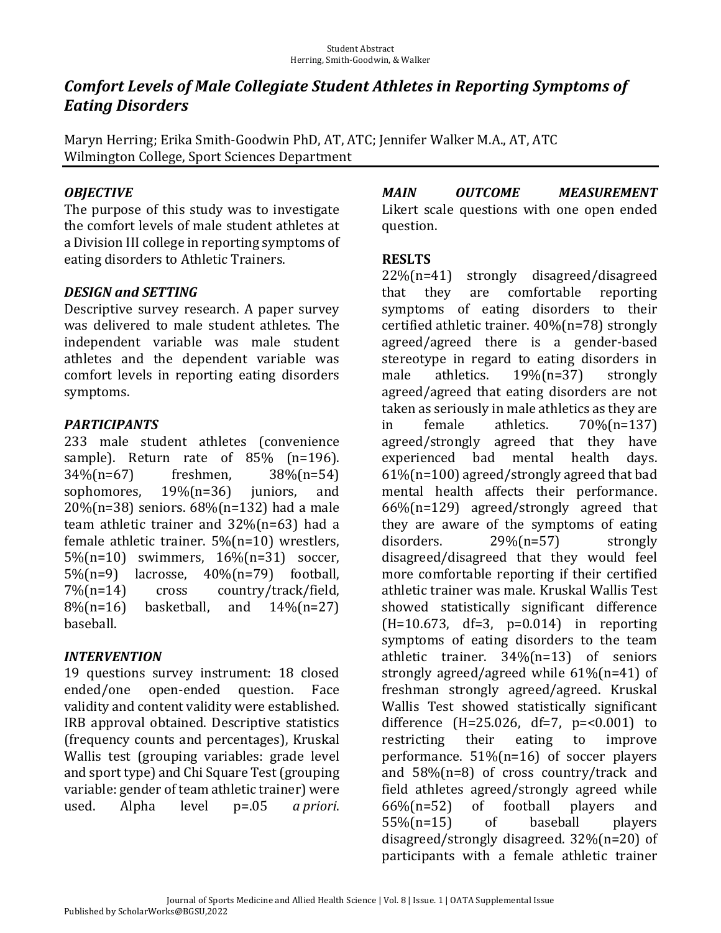## **Comfort Levels of Male Collegiate Student Athletes in Reporting Symptoms of** *Eating Disorders*

Maryn Herring; Erika Smith-Goodwin PhD, AT, ATC; Jennifer Walker M.A., AT, ATC Wilmington College, Sport Sciences Department

### *OBJECTIVE*

The purpose of this study was to investigate the comfort levels of male student athletes at a Division III college in reporting symptoms of eating disorders to Athletic Trainers.

### *DESIGN.and.SETTING*

Descriptive survey research. A paper survey was delivered to male student athletes. The independent variable was male student athletes and the dependent variable was comfort levels in reporting eating disorders symptoms. 

### *PARTICIPANTS*

233 male student athletes (convenience sample). Return rate of  $85\%$  (n=196). 34%(n=67) freshmen, 38%(n=54) sophomores,  $19\frac{1}{9}$  (n=36) juniors, and  $20\%$ (n=38) seniors.  $68\%$ (n=132) had a male team athletic trainer and  $32\%$ (n=63) had a female athletic trainer.  $5\frac{m}{n}=10$  wrestlers,  $5\%$ (n=10) swimmers,  $16\%$ (n=31) soccer,  $5\%$ (n=9) lacrosse,  $40\%$ (n=79) football, 7%(n=14) cross country/track/field,  $8\%$ (n=16) basketball, and  $14\%$ (n=27) baseball. 

#### *INTERVENTION*

19 questions survey instrument: 18 closed ended/one open-ended question. Face validity and content validity were established. IRB approval obtained. Descriptive statistics (frequency counts and percentages), Kruskal Wallis test (grouping variables: grade level and sport type) and Chi Square Test (grouping variable: gender of team athletic trainer) were used. Alpha level p=.05 *a priori*. *MAIN OUTCOME MEASUREMENT*  Likert scale questions with one open ended question. 

#### **RESLTS**

22%(n=41) strongly disagreed/disagreed that they are comfortable reporting symptoms of eating disorders to their certified athletic trainer.  $40\%$ (n=78) strongly agreed/agreed there is a gender-based stereotype in regard to eating disorders in male athletics.  $19\%$ (n=37) strongly agreed/agreed that eating disorders are not taken as seriously in male athletics as they are in female athletics.  $70\%$ (n=137) agreed/strongly agreed that they have experienced bad mental health days.  $61\%$ (n=100) agreed/strongly agreed that bad mental health affects their performance.  $66\%$ (n=129) agreed/strongly agreed that they are aware of the symptoms of eating disorders. 29%(n=57) strongly disagreed/disagreed that they would feel more comfortable reporting if their certified athletic trainer was male. Kruskal Wallis Test showed statistically significant difference  $(H=10.673, df=3, p=0.014)$  in reporting symptoms of eating disorders to the team athletic trainer.  $34\%$ (n=13) of seniors strongly agreed/agreed while  $61\%$ (n=41) of freshman strongly agreed/agreed. Kruskal Wallis Test showed statistically significant difference  $(H=25.026, df=7, p=<0.001)$  to restricting their eating to improve performance.  $51\%(n=16)$  of soccer players and  $58\%(n=8)$  of cross country/track and field athletes agreed/strongly agreed while  $66\%$ (n=52) of football players and 55%(n=15) of baseball players disagreed/strongly disagreed.  $32\%$ (n=20) of participants with a female athletic trainer